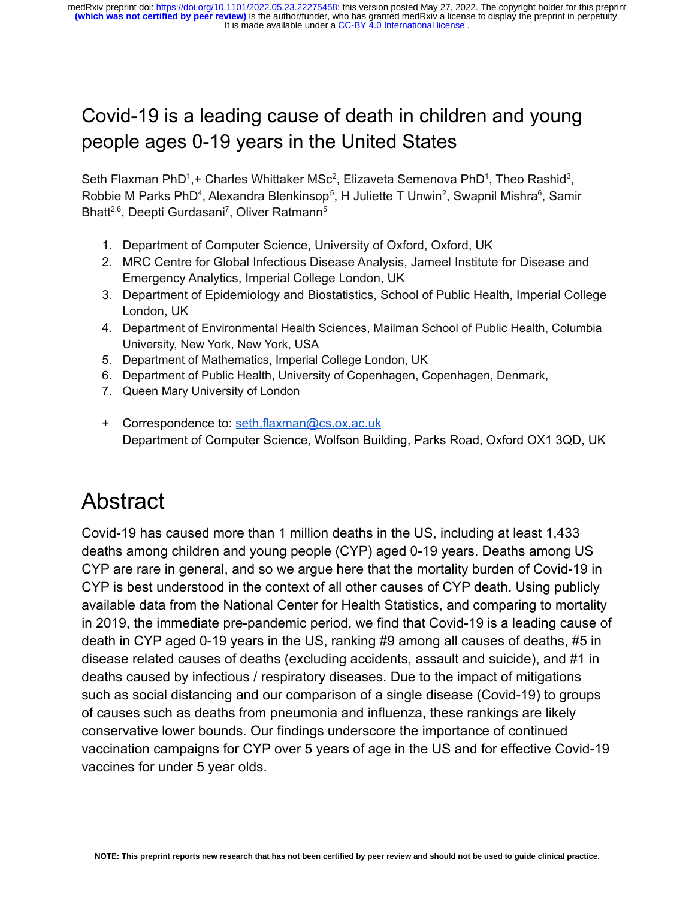#### Covid-19 is a leading cause of death in children and young people ages 0-19 years in the United States

Seth Flaxman PhD<sup>1</sup>,+ Charles Whittaker MSc<sup>2</sup>, Elizaveta Semenova PhD<sup>1</sup>, Theo Rashid<sup>3</sup>, Robbie M Parks PhD<sup>4</sup>, Alexandra Blenkinsop<sup>5</sup>, H Juliette T Unwin<sup>2</sup>, Swapnil Mishra<sup>6</sup>, Samir Bhatt<sup>2,6</sup>, Deepti Gurdasani<sup>7</sup>, Oliver Ratmann<sup>5</sup>

- 1. Department of Computer Science, University of Oxford, Oxford, UK
- 2. MRC Centre for Global Infectious Disease Analysis, Jameel Institute for Disease and Emergency Analytics, Imperial College London, UK
- 3. Department of Epidemiology and Biostatistics, School of Public Health, Imperial College London, UK
- 4. Department of Environmental Health Sciences, Mailman School of Public Health, Columbia University, New York, New York, USA
- 5. Department of Mathematics, Imperial College London, UK
- 6. Department of Public Health, University of Copenhagen, Copenhagen, Denmark,
- 7. Queen Mary University of London
- + Correspondence to: [seth.flaxman@cs.ox.ac.uk](mailto:seth.flaxman@cs.ox.ac.uk) Department of Computer Science, Wolfson Building, Parks Road, Oxford OX1 3QD, UK

#### Abstract

Covid-19 has caused more than 1 million deaths in the US, including at least 1,433 deaths among children and young people (CYP) aged 0-19 years. Deaths among US CYP are rare in general, and so we argue here that the mortality burden of Covid-19 in CYP is best understood in the context of all other causes of CYP death. Using publicly available data from the National Center for Health Statistics, and comparing to mortality in 2019, the immediate pre-pandemic period, we find that Covid-19 is a leading cause of death in CYP aged 0-19 years in the US, ranking #9 among all causes of deaths, #5 in disease related causes of deaths (excluding accidents, assault and suicide), and #1 in deaths caused by infectious / respiratory diseases. Due to the impact of mitigations such as social distancing and our comparison of a single disease (Covid-19) to groups of causes such as deaths from pneumonia and influenza, these rankings are likely conservative lower bounds. Our findings underscore the importance of continued vaccination campaigns for CYP over 5 years of age in the US and for effective Covid-19 vaccines for under 5 year olds.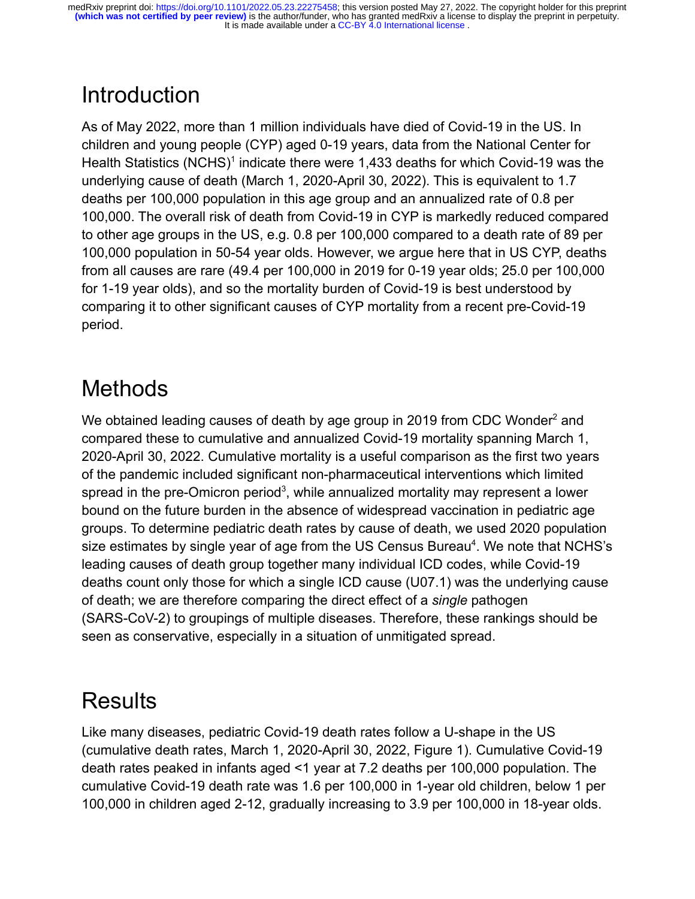# **Introduction**

As of May 2022, more than 1 million individuals have died of Covid-19 in the US. In children and young people (CYP) aged 0-19 years, data from the National Center for Health Statistics (NCHS)<sup>[1](https://paperpile.com/c/V3Pssy/XQRZ)</sup> indicate there were 1,433 deaths for which Covid-19 was the underlying cause of death (March 1, 2020-April 30, 2022). This is equivalent to 1.7 deaths per 100,000 population in this age group and an annualized rate of 0.8 per 100,000. The overall risk of death from Covid-19 in CYP is markedly reduced compared to other age groups in the US, e.g. 0.8 per 100,000 compared to a death rate of 89 per 100,000 population in 50-54 year olds. However, we argue here that in US CYP, deaths from all causes are rare (49.4 per 100,000 in 2019 for 0-19 year olds; 25.0 per 100,000 for 1-19 year olds), and so the mortality burden of Covid-19 is best understood by comparing it to other significant causes of CYP mortality from a recent pre-Covid-19 period.

### **Methods**

We obtained leading causes of death by age group in [2](https://paperpile.com/c/V3Pssy/BTNq)019 from CDC Wonder<sup>2</sup> and compared these to cumulative and annualized Covid-19 mortality spanning March 1, 2020-April 30, 2022. Cumulative mortality is a useful comparison as the first two years of the pandemic included significant non-pharmaceutical interventions which limited spread in the pre-Omicron period<sup>[3](https://paperpile.com/c/V3Pssy/V3S8)</sup>, while annualized mortality may represent a lower bound on the future burden in the absence of widespread vaccination in pediatric age groups. To determine pediatric death rates by cause of death, we used 2020 population size estimates by single year of age from the US Census Bureau<sup>[4](https://paperpile.com/c/V3Pssy/Mgbd)</sup>. We note that NCHS's leading causes of death group together many individual ICD codes, while Covid-19 deaths count only those for which a single ICD cause (U07.1) was the underlying cause of death; we are therefore comparing the direct effect of a *single* pathogen (SARS-CoV-2) to groupings of multiple diseases. Therefore, these rankings should be seen as conservative, especially in a situation of unmitigated spread.

### **Results**

Like many diseases, pediatric Covid-19 death rates follow a U-shape in the US (cumulative death rates, March 1, 2020-April 30, 2022, Figure 1). Cumulative Covid-19 death rates peaked in infants aged <1 year at 7.2 deaths per 100,000 population. The cumulative Covid-19 death rate was 1.6 per 100,000 in 1-year old children, below 1 per 100,000 in children aged 2-12, gradually increasing to 3.9 per 100,000 in 18-year olds.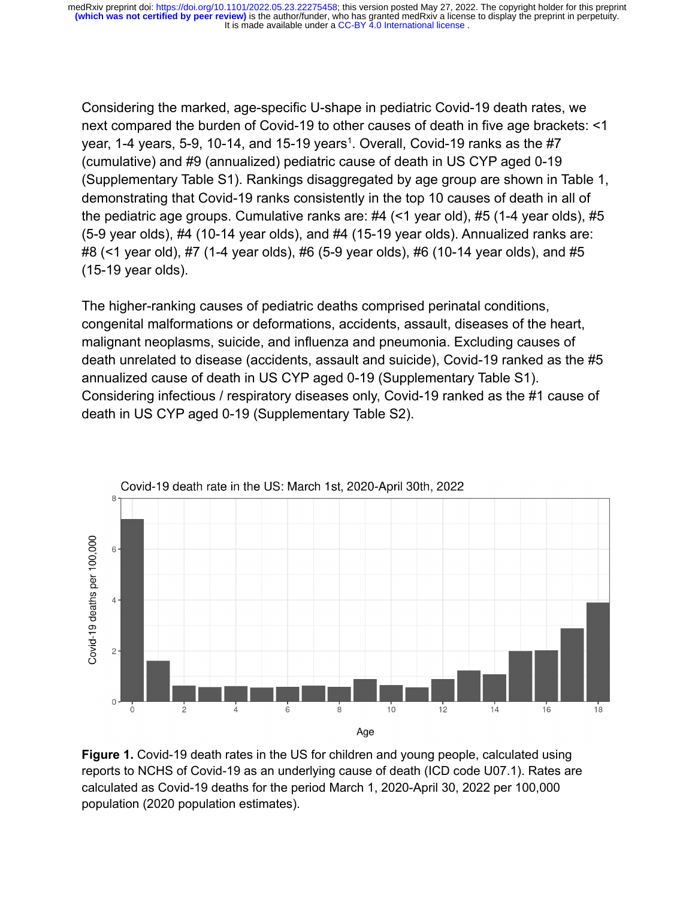Considering the marked, age-specific U-shape in pediatric Covid-19 death rates, we next compared the burden of Covid-19 to other causes of death in five age brackets: <1 year, [1](https://paperpile.com/c/V3Pssy/XQRZ)-4 years, 5-9, 10-14, and 15-19 years<sup>1</sup>. Overall, Covid-19 ranks as the #7 (cumulative) and #9 (annualized) pediatric cause of death in US CYP aged 0-19 (Supplementary Table S1). Rankings disaggregated by age group are shown in Table 1, demonstrating that Covid-19 ranks consistently in the top 10 causes of death in all of the pediatric age groups. Cumulative ranks are: #4 (<1 year old), #5 (1-4 year olds), #5 (5-9 year olds), #4 (10-14 year olds), and #4 (15-19 year olds). Annualized ranks are: #8 (<1 year old), #7 (1-4 year olds), #6 (5-9 year olds), #6 (10-14 year olds), and #5 (15-19 year olds).

The higher-ranking causes of pediatric deaths comprised perinatal conditions, congenital malformations or deformations, accidents, assault, diseases of the heart, malignant neoplasms, suicide, and influenza and pneumonia. Excluding causes of death unrelated to disease (accidents, assault and suicide), Covid-19 ranked as the #5 annualized cause of death in US CYP aged 0-19 (Supplementary Table S1). Considering infectious / respiratory diseases only, Covid-19 ranked as the #1 cause of death in US CYP aged 0-19 (Supplementary Table S2).



**Figure 1.** Covid-19 death rates in the US for children and young people, calculated using reports to NCHS of Covid-19 as an underlying cause of death (ICD code U07.1). Rates are calculated as Covid-19 deaths for the period March 1, 2020-April 30, 2022 per 100,000 population (2020 population estimates).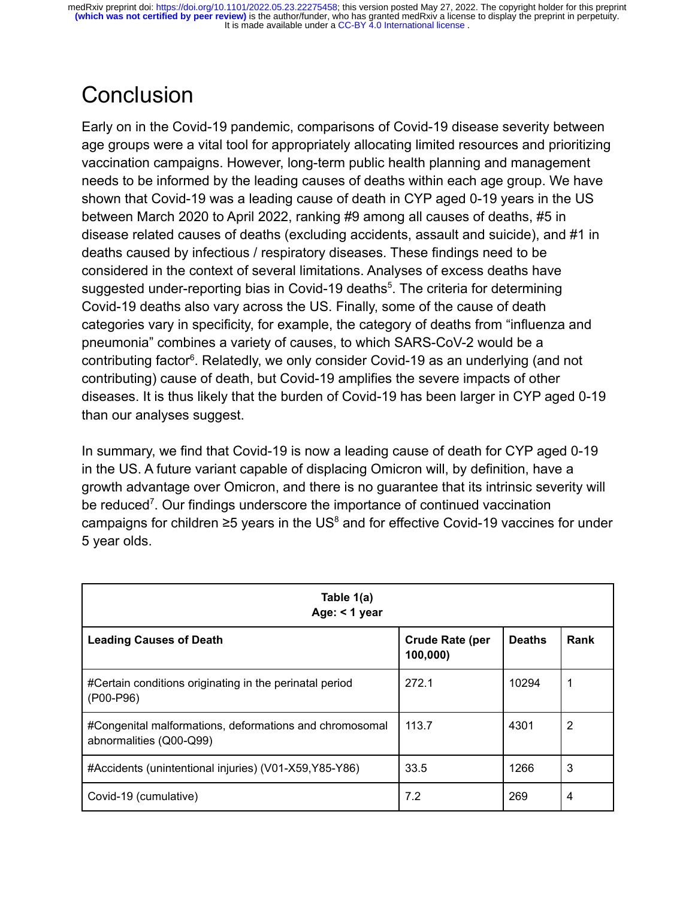### **Conclusion**

Early on in the Covid-19 pandemic, comparisons of Covid-19 disease severity between age groups were a vital tool for appropriately allocating limited resources and prioritizing vaccination campaigns. However, long-term public health planning and management needs to be informed by the leading causes of deaths within each age group. We have shown that Covid-19 was a leading cause of death in CYP aged 0-19 years in the US between March 2020 to April 2022, ranking #9 among all causes of deaths, #5 in disease related causes of deaths (excluding accidents, assault and suicide), and #1 in deaths caused by infectious / respiratory diseases. These findings need to be considered in the context of several limitations. Analyses of excess deaths have suggested under-reporting bias in Covid-19 deaths<sup>[5](https://paperpile.com/c/V3Pssy/iloU)</sup>. The criteria for determining Covid-19 deaths also vary across the US. Finally, some of the cause of death categories vary in specificity, for example, the category of deaths from "influenza and pneumonia" combines a variety of causes, to which SARS-CoV-2 would be a contributing factor<sup>[6](https://paperpile.com/c/V3Pssy/HnCz)</sup>. Relatedly, we only consider Covid-19 as an underlying (and not contributing) cause of death, but Covid-19 amplifies the severe impacts of other diseases. It is thus likely that the burden of Covid-19 has been larger in CYP aged 0-19 than our analyses suggest.

In summary, we find that Covid-19 is now a leading cause of death for CYP aged 0-19 in the US. A future variant capable of displacing Omicron will, by definition, have a growth advantage over Omicron, and there is no guarantee that its intrinsic severity will be reduced<sup>[7](https://paperpile.com/c/V3Pssy/FVGc)</sup>. Our findings underscore the importance of continued vaccination campaigns for children  $\geq$ 5 years in the US<sup>[8](https://paperpile.com/c/V3Pssy/Gm7fX)</sup> and for effective Covid-19 vaccines for under 5 year olds.

| Table 1(a)<br>Age: < 1 year                                                        |                                    |               |      |
|------------------------------------------------------------------------------------|------------------------------------|---------------|------|
| <b>Leading Causes of Death</b>                                                     | <b>Crude Rate (per</b><br>100,000) | <b>Deaths</b> | Rank |
| #Certain conditions originating in the perinatal period<br>(P00-P96)               | 272.1                              | 10294         | 1    |
| #Congenital malformations, deformations and chromosomal<br>abnormalities (Q00-Q99) | 113.7                              | 4301          | 2    |
| #Accidents (unintentional injuries) (V01-X59, Y85-Y86)                             | 33.5                               | 1266          | 3    |
| Covid-19 (cumulative)                                                              | 7.2                                | 269           | 4    |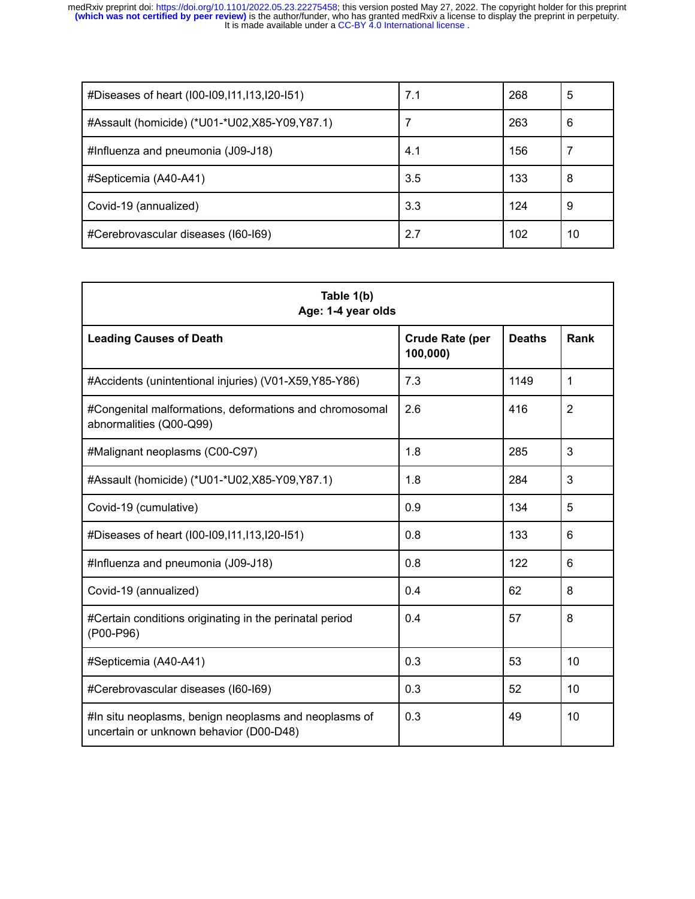It is made available under a CC-BY 4.0 International license. medRxiv preprint doi: [https://doi.org/10.1101/2022.05.23.22275458;](https://doi.org/10.1101/2022.05.23.22275458) this version posted May 27, 2022. The copyright holder for this preprint<br>(which was not certified by peer review) is the author/funder, who has granted med

| #Diseases of heart (100-109,111,113,120-151)    | 7.1 | 268 | 5  |
|-------------------------------------------------|-----|-----|----|
| #Assault (homicide) (*U01-*U02, X85-Y09, Y87.1) |     | 263 | 6  |
| #Influenza and pneumonia (J09-J18)              | 4.1 | 156 |    |
| #Septicemia (A40-A41)                           | 3.5 | 133 | 8  |
| Covid-19 (annualized)                           | 3.3 | 124 | 9  |
| #Cerebrovascular diseases (160-169)             | 2.7 | 102 | 10 |

| Table 1(b)<br>Age: 1-4 year olds                                                                 |                                    |               |                |
|--------------------------------------------------------------------------------------------------|------------------------------------|---------------|----------------|
| <b>Leading Causes of Death</b>                                                                   | <b>Crude Rate (per</b><br>100,000) | <b>Deaths</b> | Rank           |
| #Accidents (unintentional injuries) (V01-X59, Y85-Y86)                                           | 7.3                                | 1149          | $\mathbf 1$    |
| #Congenital malformations, deformations and chromosomal<br>abnormalities (Q00-Q99)               | 2.6                                | 416           | $\overline{2}$ |
| #Malignant neoplasms (C00-C97)                                                                   | 1.8                                | 285           | 3              |
| #Assault (homicide) (*U01-*U02,X85-Y09,Y87.1)                                                    | 1.8                                | 284           | 3              |
| Covid-19 (cumulative)                                                                            | 0.9                                | 134           | 5              |
| #Diseases of heart (100-109,111,113,120-151)                                                     | 0.8                                | 133           | 6              |
| #Influenza and pneumonia (J09-J18)                                                               | 0.8                                | 122           | 6              |
| Covid-19 (annualized)                                                                            | 0.4                                | 62            | 8              |
| #Certain conditions originating in the perinatal period<br>(P00-P96)                             | 0.4                                | 57            | 8              |
| #Septicemia (A40-A41)                                                                            | 0.3                                | 53            | 10             |
| #Cerebrovascular diseases (I60-I69)                                                              | 0.3                                | 52            | 10             |
| #In situ neoplasms, benign neoplasms and neoplasms of<br>uncertain or unknown behavior (D00-D48) | 0.3                                | 49            | 10             |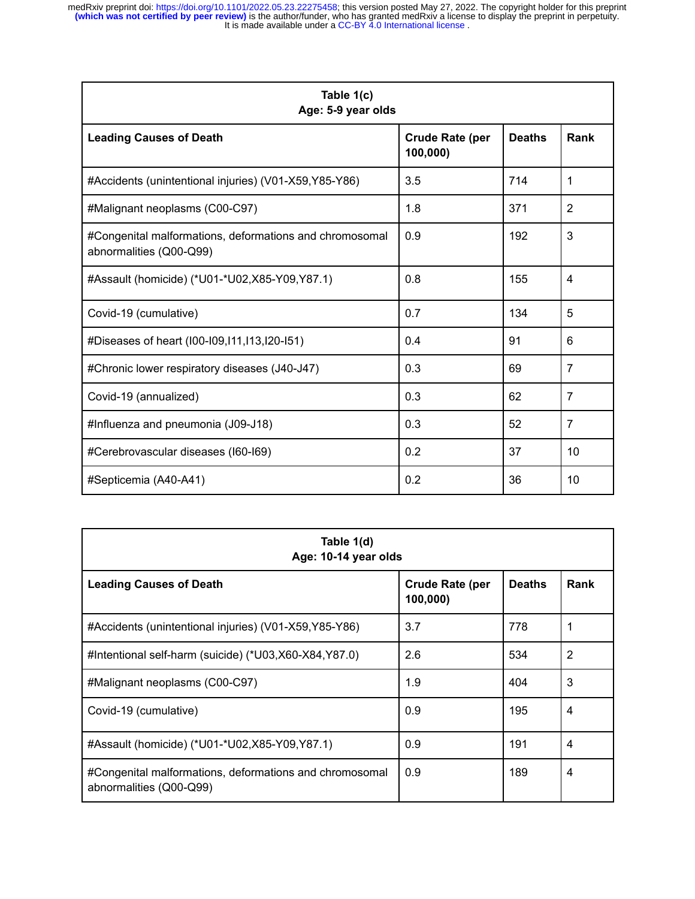It is made available under a CC-BY 4.0 International license. medRxiv preprint doi: [https://doi.org/10.1101/2022.05.23.22275458;](https://doi.org/10.1101/2022.05.23.22275458) this version posted May 27, 2022. The copyright holder for this preprint<br>(which was not certified by peer review) is the author/funder, who has granted med

| Table 1(c)<br>Age: 5-9 year olds                                                   |                                    |               |                |
|------------------------------------------------------------------------------------|------------------------------------|---------------|----------------|
| <b>Leading Causes of Death</b>                                                     | <b>Crude Rate (per</b><br>100,000) | <b>Deaths</b> | Rank           |
| #Accidents (unintentional injuries) (V01-X59, Y85-Y86)                             | 3.5                                | 714           | 1              |
| #Malignant neoplasms (C00-C97)                                                     | 1.8                                | 371           | $\overline{2}$ |
| #Congenital malformations, deformations and chromosomal<br>abnormalities (Q00-Q99) | 0.9                                | 192           | 3              |
| #Assault (homicide) (*U01-*U02,X85-Y09,Y87.1)                                      | 0.8                                | 155           | 4              |
| Covid-19 (cumulative)                                                              | 0.7                                | 134           | 5              |
| #Diseases of heart (100-109,111,113,120-151)                                       | 0.4                                | 91            | 6              |
| #Chronic lower respiratory diseases (J40-J47)                                      | 0.3                                | 69            | $\overline{7}$ |
| Covid-19 (annualized)                                                              | 0.3                                | 62            | $\overline{7}$ |
| #Influenza and pneumonia (J09-J18)                                                 | 0.3                                | 52            | $\overline{7}$ |
| #Cerebrovascular diseases (I60-I69)                                                | 0.2                                | 37            | 10             |
| #Septicemia (A40-A41)                                                              | 0.2                                | 36            | 10             |

| Table 1(d)<br>Age: 10-14 year olds                                                 |                                    |               |      |
|------------------------------------------------------------------------------------|------------------------------------|---------------|------|
| <b>Leading Causes of Death</b>                                                     | <b>Crude Rate (per</b><br>100,000) | <b>Deaths</b> | Rank |
| #Accidents (unintentional injuries) (V01-X59, Y85-Y86)                             | 3.7                                | 778           |      |
| #Intentional self-harm (suicide) (*U03,X60-X84,Y87.0)                              | 2.6                                | 534           | 2    |
| #Malignant neoplasms (C00-C97)                                                     | 1.9                                | 404           | 3    |
| Covid-19 (cumulative)                                                              | 0.9                                | 195           | 4    |
| #Assault (homicide) (*U01-*U02,X85-Y09,Y87.1)                                      | 0.9                                | 191           | 4    |
| #Congenital malformations, deformations and chromosomal<br>abnormalities (Q00-Q99) | 0.9                                | 189           | 4    |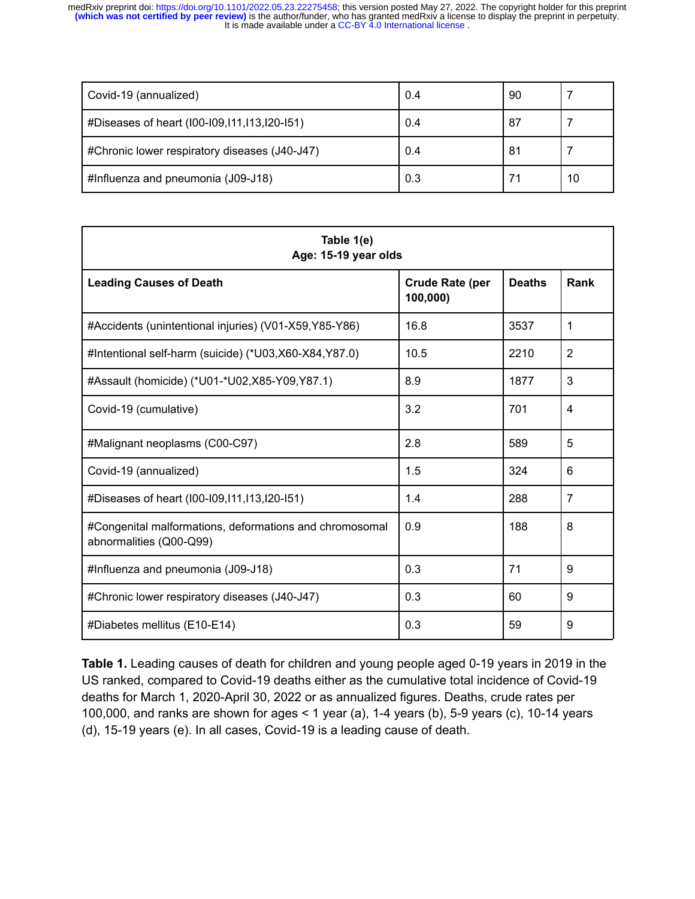It is made available under a CC-BY 4.0 International license. medRxiv preprint doi: [https://doi.org/10.1101/2022.05.23.22275458;](https://doi.org/10.1101/2022.05.23.22275458) this version posted May 27, 2022. The copyright holder for this preprint<br>(which was not certified by peer review) is the author/funder, who has granted med

| Covid-19 (annualized)                         | 0.4 | 90  |    |
|-----------------------------------------------|-----|-----|----|
| #Diseases of heart (100-109,111,113,120-151)  | 0.4 | -87 |    |
| #Chronic lower respiratory diseases (J40-J47) | 0.4 | -81 |    |
| #Influenza and pneumonia (J09-J18)            | 0.3 |     | 10 |

| Table 1(e)<br>Age: 15-19 year olds                                                 |                                    |               |                |
|------------------------------------------------------------------------------------|------------------------------------|---------------|----------------|
| <b>Leading Causes of Death</b>                                                     | <b>Crude Rate (per</b><br>100,000) | <b>Deaths</b> | Rank           |
| #Accidents (unintentional injuries) (V01-X59, Y85-Y86)                             | 16.8                               | 3537          | 1              |
| #Intentional self-harm (suicide) (*U03,X60-X84,Y87.0)                              | 10.5                               | 2210          | $\overline{2}$ |
| #Assault (homicide) (*U01-*U02,X85-Y09,Y87.1)                                      | 8.9                                | 1877          | 3              |
| Covid-19 (cumulative)                                                              | 3.2                                | 701           | 4              |
| #Malignant neoplasms (C00-C97)                                                     | 2.8                                | 589           | 5              |
| Covid-19 (annualized)                                                              | 1.5                                | 324           | 6              |
| #Diseases of heart (I00-I09, 111, 113, 120-151)                                    | 1.4                                | 288           | $\overline{7}$ |
| #Congenital malformations, deformations and chromosomal<br>abnormalities (Q00-Q99) | 0.9                                | 188           | 8              |
| #Influenza and pneumonia (J09-J18)                                                 | 0.3                                | 71            | 9              |
| #Chronic lower respiratory diseases (J40-J47)                                      | 0.3                                | 60            | 9              |
| #Diabetes mellitus (E10-E14)                                                       | 0.3                                | 59            | 9              |

**Table 1.** Leading causes of death for children and young people aged 0-19 years in 2019 in the US ranked, compared to Covid-19 deaths either as the cumulative total incidence of Covid-19 deaths for March 1, 2020-April 30, 2022 or as annualized figures. Deaths, crude rates per 100,000, and ranks are shown for ages < 1 year (a), 1-4 years (b), 5-9 years (c), 10-14 years (d), 15-19 years (e). In all cases, Covid-19 is a leading cause of death.